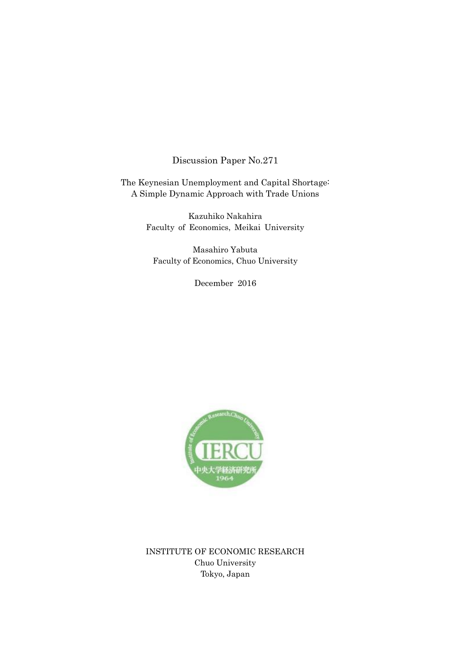Discussion Paper No.271

The Keynesian Unemployment and Capital Shortage: A Simple Dynamic Approach with Trade Unions

> Kazuhiko Nakahira Faculty of Economics, Meikai University

Masahiro Yabuta Faculty of Economics, Chuo University

December 2016



INSTITUTE OF ECONOMIC RESEARCH Chuo University Tokyo, Japan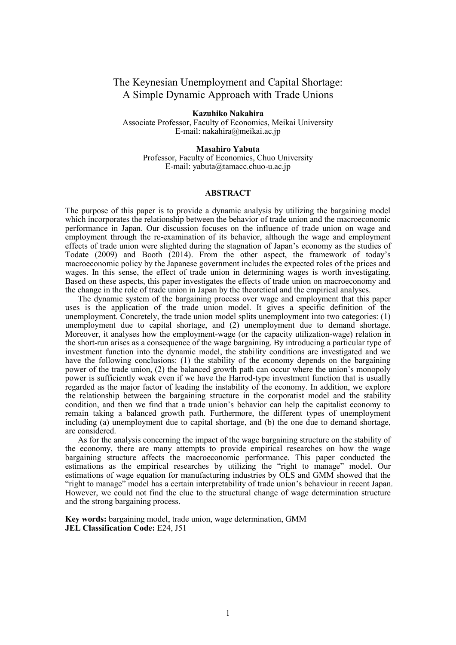# The Keynesian Unemployment and Capital Shortage: A Simple Dynamic Approach with Trade Unions

**Kazuhiko Nakahira** Associate Professor, Faculty of Economics, Meikai University E-mail: nakahira@meikai.ac.jp

**Masahiro Yabuta** Professor, Faculty of Economics, Chuo University E-mail: yabuta@tamacc.chuo-u.ac.jp

# **ABSTRACT**

The purpose of this paper is to provide a dynamic analysis by utilizing the bargaining model which incorporates the relationship between the behavior of trade union and the macroeconomic performance in Japan. Our discussion focuses on the influence of trade union on wage and employment through the re-examination of its behavior, although the wage and employment effects of trade union were slighted during the stagnation of Japan's economy as the studies of Todate (2009) and Booth (2014). From the other aspect, the framework of today's macroeconomic policy by the Japanese government includes the expected roles of the prices and wages. In this sense, the effect of trade union in determining wages is worth investigating. Based on these aspects, this paper investigates the effects of trade union on macroeconomy and the change in the role of trade union in Japan by the theoretical and the empirical analyses.

 The dynamic system of the bargaining process over wage and employment that this paper uses is the application of the trade union model. It gives a specific definition of the unemployment. Concretely, the trade union model splits unemployment into two categories: (1) unemployment due to capital shortage, and (2) unemployment due to demand shortage. Moreover, it analyses how the employment-wage (or the capacity utilization-wage) relation in the short-run arises as a consequence of the wage bargaining. By introducing a particular type of investment function into the dynamic model, the stability conditions are investigated and we have the following conclusions: (1) the stability of the economy depends on the bargaining power of the trade union, (2) the balanced growth path can occur where the union's monopoly power is sufficiently weak even if we have the Harrod-type investment function that is usually regarded as the major factor of leading the instability of the economy. In addition, we explore the relationship between the bargaining structure in the corporatist model and the stability condition, and then we find that a trade union's behavior can help the capitalist economy to remain taking a balanced growth path. Furthermore, the different types of unemployment including (a) unemployment due to capital shortage, and (b) the one due to demand shortage, are considered.

 As for the analysis concerning the impact of the wage bargaining structure on the stability of the economy, there are many attempts to provide empirical researches on how the wage bargaining structure affects the macroeconomic performance. This paper conducted the estimations as the empirical researches by utilizing the "right to manage" model. Our estimations of wage equation for manufacturing industries by OLS and GMM showed that the "right to manage" model has a certain interpretability of trade union's behaviour in recent Japan. However, we could not find the clue to the structural change of wage determination structure and the strong bargaining process.

**Key words:** bargaining model, trade union, wage determination, GMM **JEL Classification Code:** E24, J51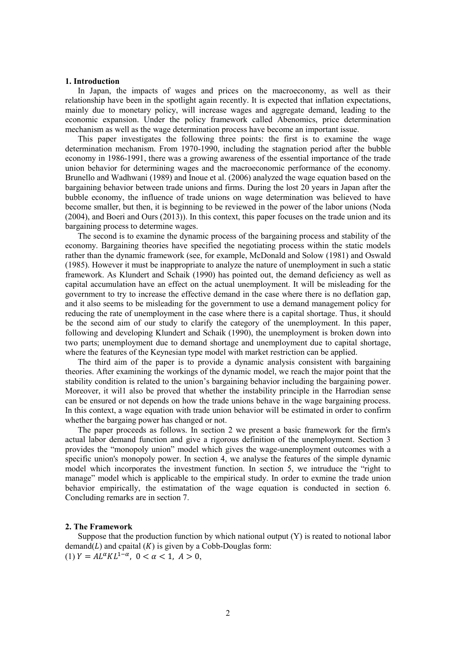#### **1. Introduction**

 In Japan, the impacts of wages and prices on the macroeconomy, as well as their relationship have been in the spotlight again recently. It is expected that inflation expectations, mainly due to monetary policy, will increase wages and aggregate demand, leading to the economic expansion. Under the policy framework called Abenomics, price determination mechanism as well as the wage determination process have become an important issue.

 This paper investigates the following three points: the first is to examine the wage determination mechanism. From 1970-1990, including the stagnation period after the bubble economy in 1986-1991, there was a growing awareness of the essential importance of the trade union behavior for determining wages and the macroeconomic performance of the economy. Brunello and Wadhwani (1989) and Inoue et al. (2006) analyzed the wage equation based on the bargaining behavior between trade unions and firms. During the lost 20 years in Japan after the bubble economy, the influence of trade unions on wage determination was believed to have become smaller, but then, it is beginning to be reviewed in the power of the labor unions (Noda (2004), and Boeri and Ours (2013)). In this context, this paper focuses on the trade union and its bargaining process to determine wages.

 The second is to examine the dynamic process of the bargaining process and stability of the economy. Bargaining theories have specified the negotiating process within the static models rather than the dynamic framework (see, for example, McDonald and Solow (1981) and Oswald (1985). However it must be inappropriate to analyze the nature of unemployment in such a static framework. As Klundert and Schaik (1990) has pointed out, the demand deficiency as well as capital accumulation have an effect on the actual unemployment. It will be misleading for the government to try to increase the effective demand in the case where there is no deflation gap, and it also seems to be misleading for the government to use a demand management policy for reducing the rate of unemployment in the case where there is a capital shortage. Thus, it should be the second aim of our study to clarify the category of the unemployment. In this paper, following and developing Klundert and Schaik (1990), the unemployment is broken down into two parts; unemployment due to demand shortage and unemployment due to capital shortage, where the features of the Keynesian type model with market restriction can be applied.

 The third aim of the paper is to provide a dynamic analysis consistent with bargaining theories. After examining the workings of the dynamic model, we reach the major point that the stability condition is related to the union's bargaining behavior including the bargaining power. Moreover, it wil1 also be proved that whether the instability principle in the Harrodian sense can be ensured or not depends on how the trade unions behave in the wage bargaining process. In this context, a wage equation with trade union behavior will be estimated in order to confirm whether the bargaing power has changed or not.

 The paper proceeds as follows. In section 2 we present a basic framework for the firm's actual labor demand function and give a rigorous definition of the unemployment. Section 3 provides the "monopoly union" model which gives the wage-unemployment outcomes with a specific union's monopoly power. In section 4, we analyse the features of the simple dynamic model which incorporates the investment function. In section 5, we intruduce the "right to manage" model which is applicable to the empirical study. In order to exmine the trade union behavior empirically, the estimatation of the wage equation is conducted in section 6. Concluding remarks are in section 7.

## **2. The Framework**

Suppose that the production function by which national output  $(Y)$  is reated to notional labor demand( $L$ ) and cpaital  $(K)$  is given by a Cobb-Douglas form: (1)  $Y = A L^{\alpha} K L^{1-\alpha}$ ,  $0 < \alpha < 1$ ,  $A > 0$ ,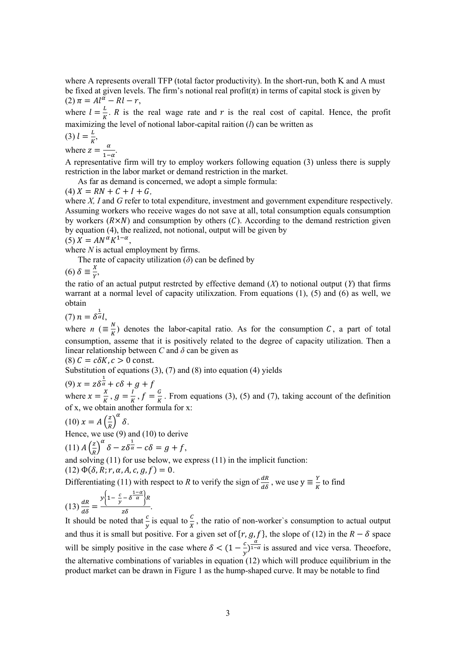where A represents overall TFP (total factor productivity). In the short-run, both K and A must be fixed at given levels. The firm's notional real profit $(\pi)$  in terms of capital stock is given by  $(2)$   $\pi = Al^{\alpha} - Rl - r$ ,

where  $l = \frac{L}{v}$  $\frac{E}{K}$ . *R* is the real wage rate and *r* is the real cost of capital. Hence, the profit maximizing the level of notional labor-capital raition (*l*) can be written as

$$
(3) l = \frac{L}{K'},
$$

where  $z = \frac{\alpha}{1}$  $\frac{a}{1-\alpha}$ .

A representative firm will try to employ workers following equation (3) unless there is supply restriction in the labor market or demand restriction in the market.

As far as demand is concerned, we adopt a simple formula:

 $(4) X = RN + C + I + G,$ 

where *X, I* and *G* refer to total expenditure, investment and government expenditure respectively. Assuming workers who receive wages do not save at all, total consumption equals consumption by workers  $(R\times N)$  and consumption by others  $(C)$ . According to the demand restriction given by equation (4), the realized, not notional, output will be given by  $(5) X = AN^{\alpha} K^{1-\alpha},$ 

where *N* is actual employment by firms.

The rate of capacity utilization  $(\delta)$  can be defined by

 $(6)$   $\delta \equiv \frac{X}{Y}$  $\frac{\Lambda}{Y}$ 

the ratio of an actual putput restrcted by effective demand (*X*) to notional output (*Y*) that firms warrant at a normal level of capacity utilixzation. From equations (1), (5) and (6) as well, we obtain

(7)  $n = \delta^{\frac{1}{\alpha}}l$ ,

where *n* ( $\equiv \frac{N}{K}$  $\frac{N}{K}$ ) denotes the labor-capital ratio. As for the consumption *C*, a part of total consumption, asseme that it is positively related to the degree of capacity utilization. Then a linear relationship between *C* and *δ* can be given as

(8)  $C = c \delta K$ ,  $c > 0$  const.

Substitution of equations (3), (7) and (8) into equation (4) yields

(9)  $x = z\delta^{\frac{1}{\alpha}} + c\delta + g + f$ 

where  $x = \frac{X}{Y}$  $\frac{X}{K}$ ,  $g = \frac{I}{K}$  $\frac{I}{K}$ ,  $f = \frac{G}{K}$  $\frac{6}{K}$ . From equations (3), (5) and (7), taking account of the definition of x, we obtain another formula for x:

$$
(10) x = A \left(\frac{z}{R}\right)^{\alpha} \delta.
$$

Hence, we use (9) and (10) to derive

$$
(11) A \left(\frac{z}{R}\right)^{\alpha} \delta - z \delta^{\frac{1}{\alpha}} - c \delta = g + f,
$$

and solving (11) for use below, we express (11) in the implicit function:

 $(12) \Phi(\delta, R; r, \alpha, A, c, g, f) = 0.$ 

Differentiating (11) with respect to *R* to verify the sign of  $\frac{dR}{d\delta}$ , we use  $y \equiv \frac{Y}{R}$  $\frac{1}{K}$  to find

$$
(13)\frac{dR}{d\delta} = \frac{y\left\{1 - \frac{c}{y} - \delta \frac{1-\alpha}{\alpha}\right\}R}{z\delta}.
$$

It should be noted that  $\frac{c}{y}$  is equal to  $\frac{c}{x}$ , the ratio of non-worker's consumption to actual output and thus it is small but positive. For a given set of  $\{r, g, f\}$ , the slope of (12) in the  $R - \delta$  space will be simply positive in the case where  $\delta < (1 - \frac{c}{n})$  $\frac{c}{y}$ ) $\frac{\alpha}{1-\alpha}$  is assured and vice versa. Theoefore, the alternative combinations of variables in equation (12) which will produce equilibrium in the product market can be drawn in Figure 1 as the hump-shaped curve. It may be notable to find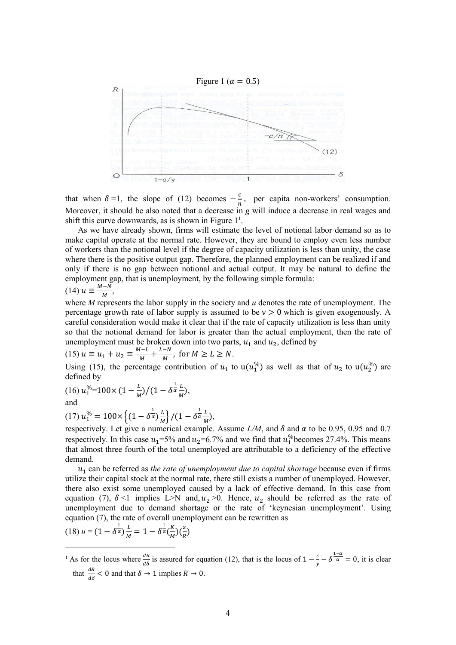

that when  $\delta =1$ , the slope of (12) becomes  $-\frac{c}{a}$  $\frac{c}{n}$ , per capita non-workers' consumption. Moreover, it should be also noted that a decrease in *g* will induce a decrease in real wages and shift this curve downwards, as is shown in Figure  $1<sup>1</sup>$ .

 As we have already shown, firms will estimate the level of notional labor demand so as to make capital operate at the normal rate. However, they are bound to employ even less number of workers than the notional level if the degree of capacity utilization is less than unity, the case where there is the positive output gap. Therefore, the planned employment can be realized if and only if there is no gap between notional and actual output. It may be natural to define the employment gap, that is unemployment, by the following simple formula:

$$
(14) u \equiv \frac{M-N}{M},
$$

where *M* represents the labor supply in the society and *u* denotes the rate of unemployment. The percentage growth rate of labor supply is assumed to be  $v > 0$  which is given exogenously. A careful consideration would make it clear that if the rate of capacity utilization is less than unity so that the notional demand for labor is greater than the actual employment, then the rate of unemployment must be broken down into two parts,  $u_1$  and  $u_2$ , defined by

$$
(15) \ u \equiv u_1 + u_2 \equiv \frac{M - L}{M} + \frac{L - N}{M}, \text{ for } M \ge L \ge N.
$$

Using (15), the percentage contribution of  $u_1$  to  $u(u_1^{\%})$  as well as that of  $u_2$  to  $u(u_2^{\%})$  are defined by

(16) 
$$
u_1^{\%} = 100 \times \left(1 - \frac{L}{M}\right) / \left(1 - \delta^{\frac{1}{\alpha}} \frac{L}{M}\right)
$$
,  
and

$$
(17) u_1^{\%} = 100 \times \left\{ (1 - \delta^{\frac{1}{\alpha}}) \frac{L}{M} \right\} / (1 - \delta^{\frac{1}{\alpha}} \frac{L}{M}),
$$

respectively. Let give a numerical example. Assume  $L/M$ , and  $\delta$  and  $\alpha$  to be 0.95, 0.95 and 0.7 respectively. In this case  $u_1$ =5% and  $u_2$ =6.7% and we find that  $u_1^{\%}$ becomes 27.4%. This means that almost three fourth of the total unemployed are attributable to a deficiency of the effective demand.

 $u_1$  can be referred as *the rate of unemployment due to capital shortage* because even if firms utilize their capital stock at the normal rate, there still exists a number of unemployed. However, there also exist some unemployed caused by a lack of effective demand. In this case from equation (7),  $\delta$  <1 implies L>N and,  $u_2$  >0. Hence,  $u_2$  should be referred as the rate of unemployment due to demand shortage or the rate of 'keynesian unemployment'. Using equation (7), the rate of overall unemployment can be rewritten as

$$
(18) u = (1 - \delta^{\frac{1}{\alpha}}) \frac{L}{M} = 1 - \delta^{\frac{1}{\alpha}} \left(\frac{K}{M}\right) \left(\frac{z}{R}\right)
$$

-

<sup>1</sup> As for the locus where  $\frac{dR}{d\delta}$  is assured for equation (12), that is the locus of  $1-\frac{c}{y}$  $\frac{c}{y} - \delta^{\frac{1-\alpha}{\alpha}} = 0$ , it is clear that  $\frac{dR}{d\delta} < 0$  and that  $\delta \to 1$  implies  $R \to 0$ .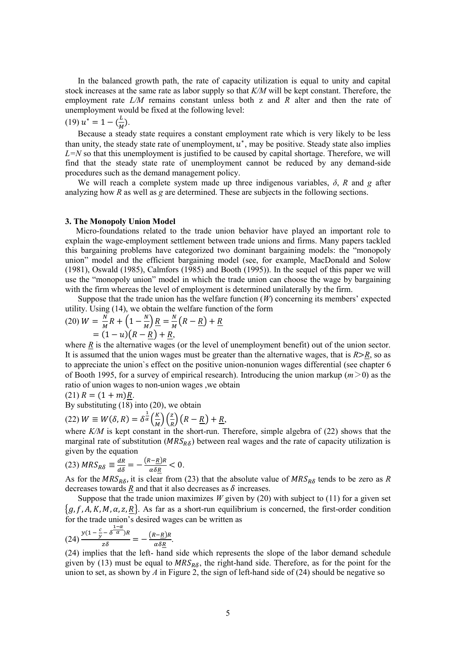In the balanced growth path, the rate of capacity utilization is equal to unity and capital stock increases at the same rate as labor supply so that *K/M* will be kept constant. Therefore, the employment rate *L/M* remains constant unless both z and *R* alter and then the rate of unemployment would be fixed at the following level:

 $(19) u^* = 1 - (\frac{L}{v})$  $\frac{L}{M}$ ).

 Because a steady state requires a constant employment rate which is very likely to be less than unity, the steady state rate of unemployment,  $u^*$ , may be positive. Steady state also implies  $L=N$  so that this unemployment is justified to be caused by capital shortage. Therefore, we will find that the steady state rate of unemployment cannot be reduced by any demand-side procedures such as the demand management policy.

We will reach a complete system made up three indigenous variables,  $\delta$ , *R* and *g* after analyzing how *R* as well as *g* are determined. These are subjects in the following sections.

# **3. The Monopoly Union Model**

Micro-foundations related to the trade union behavior have played an important role to explain the wage-employment settlement between trade unions and firms. Many papers tackled this bargaining problems have categorized two dominant bargaining models: the "monopoly union" model and the efficient bargaining model (see, for example, MacDonald and Solow (1981), Oswald (1985), Calmfors (1985) and Booth (1995)). In the sequel of this paper we will use the "monopoly union" model in which the trade union can choose the wage by bargaining with the firm whereas the level of employment is determined unilaterally by the firm.

Suppose that the trade union has the welfare function  $(W)$  concerning its members' expected utility. Using (14), we obtain the welfare function of the form

$$
(20) \ W = \frac{N}{M}R + \left(1 - \frac{N}{M}\right)R = \frac{N}{M}\left(R - \frac{R}{M}\right) + \frac{R}{M}
$$

$$
= (1 - u)\left(R - \frac{R}{M}\right) + \frac{R}{M},
$$

where  $R$  is the alternative wages (or the level of unemployment benefit) out of the union sector. It is assumed that the union wages must be greater than the alternative wages, that is *R*>*R*, so as to appreciate the union`s effect on the positive union-nonunion wages differential (see chapter 6 of Booth 1995, for a survey of empirical research). Introducing the union markup  $(m>0)$  as the ratio of union wages to non-union wages ,we obtain

$$
(21) R = (1 + m)R.
$$

By substituting (18) into (20), we obtain

(22) 
$$
W \equiv W(\delta, R) = \delta^{\frac{1}{\alpha}} \left(\frac{R}{M}\right) \left(\frac{z}{R}\right) \left(R - \frac{R}{M}\right) + \frac{R}{M}
$$

where  $K/M$  is kept constant in the short-run. Therefore, simple algebra of  $(22)$  shows that the marginal rate of substitution ( $MRS_{R\delta}$ ) between real wages and the rate of capacity utilization is given by the equation

$$
(23) \, MRS_{R\delta} \equiv \frac{dR}{d\delta} = -\frac{(R - \underline{R})R}{\alpha \delta \underline{R}} < 0.
$$

As for the  $MRS_{R\delta}$ , it is clear from (23) that the absolute value of  $MRS_{R\delta}$  tends to be zero as *R* decreases towards  $\underline{R}$  and that it also decreases as  $\delta$  increases.

Suppose that the trade union maximizes  $W$  given by (20) with subject to (11) for a given set  ${g, f, A, K, M, \alpha, z, R}$ . As far as a short-run equilibrium is concerned, the first-order condition for the trade union's desired wages can be written as

$$
(24)\frac{y(1-\frac{c}{y}-\delta^{\frac{1-\alpha}{\alpha}})R}{z\delta}=-\frac{(R-R)R}{\alpha\delta R}.
$$

(24) implies that the left- hand side which represents the slope of the labor demand schedule given by (13) must be equal to  $MRS_{R\delta}$ , the right-hand side. Therefore, as for the point for the union to set, as shown by *A* in Figure 2, the sign of left-hand side of (24) should be negative so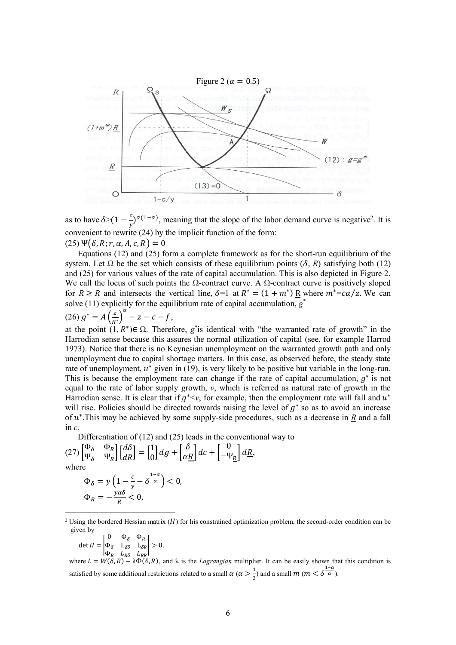

as to have  $\delta$  >(1 –  $\frac{c}{n}$ )  $\frac{c}{y}$ )<sup> $\alpha(1-\alpha)$ </sup>, meaning that the slope of the labor demand curve is negative<sup>2</sup>. It is convenient to rewrite (24) by the implicit function of the form:  $(25) \Psi(\delta, R; r, \alpha, A, c, R) = 0$ 

 Equations (12) and (25) form a complete framework as for the short-run equilibrium of the system. Let  $\Omega$  be the set which consists of these equilibrium points ( $\delta$ , *R*) satisfying both (12) and (25) for various values of the rate of capital accumulation. This is also depicted in Figure 2. We call the locus of such points the  $\Omega$ -contract curve. A  $\Omega$ -contract curve is positively sloped for  $R \ge R$  and intersects the vertical line,  $\delta =1$  at  $R^* = (1 + m^*) R$  where  $m^* = c\alpha/z$ . We can solve (11) explicitly for the equilibrium rate of capital accumulation,  $g^*$ 

$$
(26) \, g^* = A \left(\frac{z}{R^*}\right)^{\alpha} - z - c - f,
$$

at the point  $(1, R^*)\in \Omega$ . Therefore, *g*<sup>\*</sup>is identical with "the warranted rate of growth" in the Harrodian sense because this assures the normal utilization of capital (see, for example Harrod 1973). Notice that there is no Keynesian unemployment on the warranted growth path and only unemployment due to capital shortage matters. In this case, as observed before, the steady state rate of unemployment,  $u^*$  given in (19), is very likely to be positive but variable in the long-run. This is because the employment rate can change if the rate of capital accumulation,  $g^*$  is not equal to the rate of labor supply growth, *v*, which is referred as natural rate of growth in the Harrodian sense. It is clear that if  $g^*, for example, then the employment rate will fall and  $u^*$$ will rise. Policies should be directed towards raising the level of  $g^*$  so as to avoid an increase of  $u^*$ . This may be achieved by some supply-side procedures, such as a decrease in  $\underline{R}$  and a fall in *c.*

Differentiation of (12) and (25) leads in the conventional way to

$$
(27)\begin{bmatrix} \Phi_{\delta} & \Phi_{R} \\ \Psi_{\delta} & \Psi_{R} \end{bmatrix} \begin{bmatrix} d\delta \\ dR \end{bmatrix} = \begin{bmatrix} 1 \\ 0 \end{bmatrix} dg + \begin{bmatrix} \delta \\ \alpha \underline{R} \end{bmatrix} dc + \begin{bmatrix} 0 \\ -\Psi_{\underline{R}} \end{bmatrix} d\underline{R},
$$
 where

$$
\Phi_{\delta} = y \left( 1 - \frac{c}{y} - \delta^{\frac{1 - \alpha}{\alpha}} \right) < 0,
$$
\n
$$
\Phi_R = -\frac{y \alpha \delta}{R} < 0,
$$

$$
\det H = \begin{vmatrix} 0 & \Phi_{\delta} & \Phi_R \\ \Phi_{\delta} & L_{\delta\delta} & L_{\delta R} \\ \Phi_R & L_{R\delta} & L_{RR} \end{vmatrix} > 0,
$$

-

where  $L = W(\delta, R) - \lambda \Phi(\delta, R)$ , and  $\lambda$  is the *Lagrangian* multiplier. It can be easily shown that this condition is satisfied by some additional restrictions related to a small  $\alpha$  ( $\alpha > \frac{1}{2}$ )  $\frac{1}{3}$  and a small  $m (m < \delta^{\frac{1-\alpha}{\alpha}})$ .

<sup>&</sup>lt;sup>2</sup> Using the bordered Hessian matrix ( $H$ ) for his constrained optimization problem, the second-order condition can be given by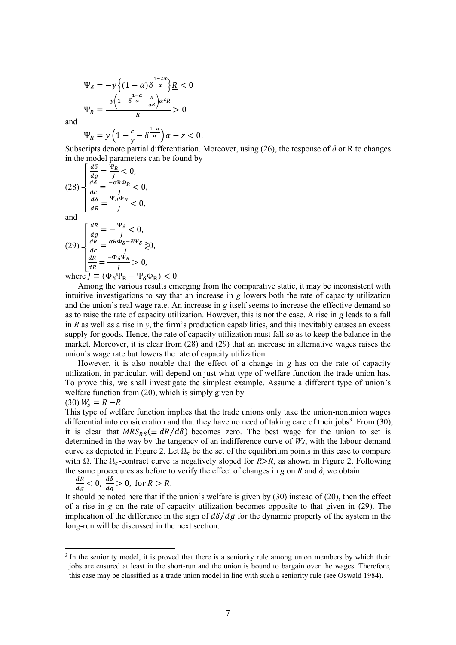$$
\Psi_{\delta} = -y \left\{ (1 - \alpha) \delta^{\frac{1 - 2\alpha}{\alpha}} \right\} R < 0
$$
\n
$$
\Psi_R = \frac{-y \left( 1 - \delta^{\frac{1 - \alpha}{\alpha}} - \frac{R}{\alpha R} \right) \alpha^2 R}{R} > 0
$$

and

$$
\Psi_{\underline{R}} = y \left( 1 - \frac{c}{y} - \delta^{\frac{1-\alpha}{\alpha}} \right) \alpha - z < 0.
$$

Subscripts denote partial differentiation. Moreover, using (26), the response of *δ* or R to changes in the model parameters can be found by

$$
(28) \begin{cases} \frac{d\delta}{dg} = \frac{\Psi_R}{J} < 0, \\ \frac{d\delta}{dc} = \frac{-\alpha \underline{R} \Phi_R}{J} < 0, \\ \frac{d\delta}{d\underline{R}} = \frac{\Psi_R \Phi_R}{J} < 0, \end{cases}
$$
and
$$
\begin{bmatrix} \frac{dR}{dg} = -\frac{\Psi_{\delta}}{J} < 0, \\ \frac{dR}{dg} = -\frac{\Psi_{\delta}}{J} < 0, \end{bmatrix}
$$

$$
(29) \frac{\frac{dR}{dg} = -\frac{\Psi_{\delta}}{J} < 0, \n\frac{dR}{dc} = \frac{\alpha R \Phi_{\delta} - \delta \Psi_{\delta}}{J} \gtrsim 0, \n\frac{dR}{d\underline{R}} = \frac{-\Phi_{\delta} \Psi_{\underline{R}}}{J} > 0, \nwhere  $I = (\Phi_{\delta} \Psi_{\delta} - \Psi_{\delta} \Phi_{\delta})$
$$

where  $\bar{J} \equiv (\Phi_{\delta} \Psi_{\rm R} - \Psi_{\delta} \Phi_{\rm R}) < 0.$ 

 Among the various results emerging from the comparative static, it may be inconsistent with intuitive investigations to say that an increase in *g* lowers both the rate of capacity utilization and the union`s real wage rate. An increase in *g* itself seems to increase the effective demand so as to raise the rate of capacity utilization. However, this is not the case. A rise in *g* leads to a fall in *R* as well as a rise in *y*, the firm's production capabilities, and this inevitably causes an excess supply for goods. Hence, the rate of capacity utilization must fall so as to keep the balance in the market. Moreover, it is clear from (28) and (29) that an increase in alternative wages raises the union's wage rate but lowers the rate of capacity utilization.

 However, it is also notable that the effect of a change in *g* has on the rate of capacity utilization, in particular, will depend on just what type of welfare function the trade union has. To prove this, we shall investigate the simplest example. Assume a different type of union's welfare function from (20), which is simply given by

$$
(30) W_s = R - \underline{R}
$$

1

This type of welfare function implies that the trade unions only take the union-nonunion wages differential into consideration and that they have no need of taking care of their jobs<sup>3</sup>. From (30), it is clear that  $MRS_{R\delta} (\equiv dR/d\delta)$  becomes zero. The best wage for the union to set is determined in the way by the tangency of an indifference curve of *Ws*, with the labour demand curve as depicted in Figure 2. Let  $\Omega$ , be the set of the equilibrium points in this case to compare with Ω. The Ω<sub>s</sub>-contract curve is negatively sloped for *R*>*R*, as shown in Figure 2. Following the same procedures as before to verify the effect of changes in  $g$  on  $R$  and  $\delta$ , we obtain

$$
\frac{dR}{dg} < 0, \, \frac{d\delta}{dg} > 0, \, \text{for } R > \underline{R}.
$$

It should be noted here that if the union's welfare is given by (30) instead of (20), then the effect of a rise in *g* on the rate of capacity utilization becomes opposite to that given in (29). The implication of the difference in the sign of  $d\delta / da$  for the dynamic property of the system in the long-run will be discussed in the next section.

<sup>&</sup>lt;sup>3</sup> In the seniority model, it is proved that there is a seniority rule among union members by which their jobs are ensured at least in the short-run and the union is bound to bargain over the wages. Therefore, this case may be classified as a trade union model in line with such a seniority rule (see Oswald 1984).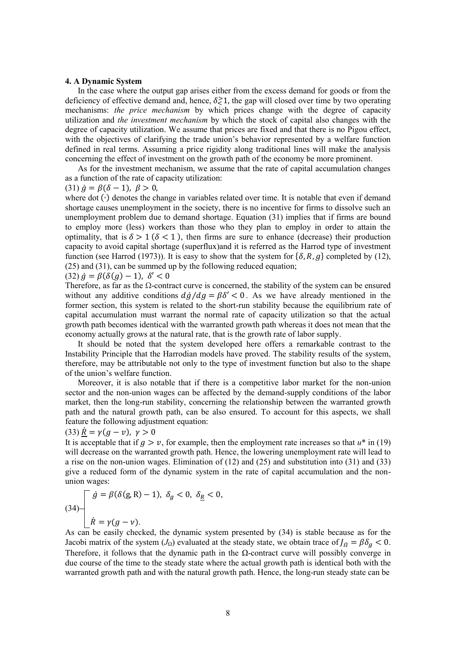## **4. A Dynamic System**

 In the case where the output gap arises either from the excess demand for goods or from the deficiency of effective demand and, hence,  $\delta \gtrsim 1$ , the gap will closed over time by two operating mechanisms: *the price mechanism* by which prices change with the degree of capacity utilization and *the investment mechanism* by which the stock of capital also changes with the degree of capacity utilization. We assume that prices are fixed and that there is no Pigou effect, with the objectives of clarifying the trade union's behavior represented by a welfare function defined in real terms. Assuming a price rigidity along traditional lines will make the analysis concerning the effect of investment on the growth path of the economy be more prominent.

 As for the investment mechanism, we assume that the rate of capital accumulation changes as a function of the rate of capacity utilization:

(31) 
$$
\dot{g} = \beta(\delta - 1), \ \beta > 0,
$$

where dot (∙) denotes the change in variables related over time. It is notable that even if demand shortage causes unemployment in the society, there is no incentive for firms to dissolve such an unemployment problem due to demand shortage. Equation (31) implies that if firms are bound to employ more (less) workers than those who they plan to employ in order to attain the optimality, that is  $\delta > 1$  ( $\delta < 1$ ), then firms are sure to enhance (decrease) their production capacity to avoid capital shortage (superflux)and it is referred as the Harrod type of investment function (see Harrod (1973)). It is easy to show that the system for  $\{\delta, R, g\}$  completed by (12), (25) and (31), can be summed up by the following reduced equation;

$$
(32) \dot{g} = \beta(\delta(g) - 1), \delta' < 0
$$

Therefore, as far as the  $\Omega$ -contract curve is concerned, the stability of the system can be ensured without any additive conditions  $d\dot{g}/dg = \beta \delta' < 0$ . As we have already mentioned in the former section, this system is related to the short-run stability because the equilibrium rate of capital accumulation must warrant the normal rate of capacity utilization so that the actual growth path becomes identical with the warranted growth path whereas it does not mean that the economy actually grows at the natural rate, that is the growth rate of labor supply.

 It should be noted that the system developed here offers a remarkable contrast to the Instability Principle that the Harrodian models have proved. The stability results of the system, therefore, may be attributable not only to the type of investment function but also to the shape of the union's welfare function.

 Moreover, it is also notable that if there is a competitive labor market for the non-union sector and the non-union wages can be affected by the demand-supply conditions of the labor market, then the long-run stability, concerning the relationship between the warranted growth path and the natural growth path, can be also ensured. To account for this aspects, we shall feature the following adjustment equation:

# (33)  $\dot{R} = \gamma (g - v)$ ,  $\gamma > 0$

It is acceptable that if  $q > v$ , for example, then the employment rate increases so that  $u^*$  in (19) will decrease on the warranted growth path. Hence, the lowering unemployment rate will lead to a rise on the non-union wages. Elimination of (12) and (25) and substitution into (31) and (33) give a reduced form of the dynamic system in the rate of capital accumulation and the nonunion wages:

(34)
$$
\begin{cases} \dot{g} = \beta(\delta(g, R) - 1), \ \delta_g < 0, \ \delta_{\underline{R}} < 0, \\ \dot{R} = \gamma(g - \nu). \end{cases}
$$

As can be easily checked, the dynamic system presented by (34) is stable because as for the Jacobi matrix of the system  $(J_{\Omega})$  evaluated at the steady state, we obtain trace of  $J_{\Omega} = \beta \delta_{\alpha} < 0$ . Therefore, it follows that the dynamic path in the  $\Omega$ -contract curve will possibly converge in due course of the time to the steady state where the actual growth path is identical both with the warranted growth path and with the natural growth path. Hence, the long-run steady state can be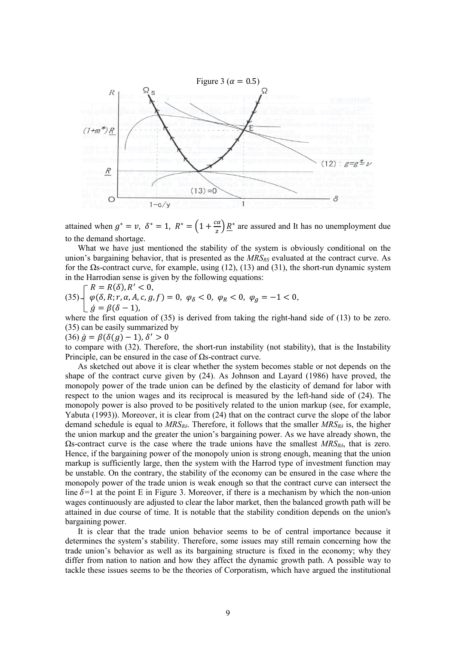

attained when  $g^* = v$ ,  $\delta^* = 1$ ,  $R^* = \left(1 + \frac{ca}{a}\right)$  $\frac{\alpha}{z}$ )  $\underline{R}^*$  are assured and It has no unemployment due to the demand shortage.

 What we have just mentioned the stability of the system is obviously conditional on the union's bargaining behavior, that is presented as the *MRSRS* evaluated at the contract curve. As for the  $\Omega$ s-contract curve, for example, using (12), (13) and (31), the short-run dynamic system in the Harrodian sense is given by the following equations:

 $\bigcap R = R(\delta), R' < 0,$  $(35)$   $\left\{\varphi(\delta, R; r, \alpha, A, c, g, f) = 0, \varphi_{\delta} < 0, \varphi_{R} < 0, \varphi_{g} = -1 < 0, \right\}$  $\int$   $\dot{g} = \beta(\delta - 1)$ ,

where the first equation of (35) is derived from taking the right-hand side of (13) to be zero. (35) can be easily summarized by

 $(36)$   $\dot{g} = \beta(\delta(g) - 1), \delta' > 0$ 

to compare with (32). Therefore, the short-run instability (not stability), that is the Instability Principle, can be ensured in the case of  $\Omega$ s-contract curve.

 As sketched out above it is clear whether the system becomes stable or not depends on the shape of the contract curve given by (24). As Johnson and Layard (1986) have proved, the monopoly power of the trade union can be defined by the elasticity of demand for labor with respect to the union wages and its reciprocal is measured by the left-hand side of (24). The monopoly power is also proved to be positively related to the union markup (see, for example, Yabuta (1993)). Moreover, it is clear from (24) that on the contract curve the slope of the labor demand schedule is equal to *MRSRδ*. Therefore, it follows that the smaller *MRSR<sup>δ</sup>* is, the higher the union markup and the greater the union's bargaining power. As we have already shown, the Ωs-contract curve is the case where the trade unions have the smallest *MRSRδ*, that is zero. Hence, if the bargaining power of the monopoly union is strong enough, meaning that the union markup is sufficiently large, then the system with the Harrod type of investment function may be unstable. On the contrary, the stability of the economy can be ensured in the case where the monopoly power of the trade union is weak enough so that the contract curve can intersect the line  $\delta=1$  at the point E in Figure 3. Moreover, if there is a mechanism by which the non-union wages continuously are adjusted to clear the labor market, then the balanced growth path will be attained in due course of time. It is notable that the stability condition depends on the union's bargaining power.

 It is clear that the trade union behavior seems to be of central importance because it determines the system's stability. Therefore, some issues may still remain concerning how the trade union's behavior as well as its bargaining structure is fixed in the economy; why they differ from nation to nation and how they affect the dynamic growth path. A possible way to tackle these issues seems to be the theories of Corporatism, which have argued the institutional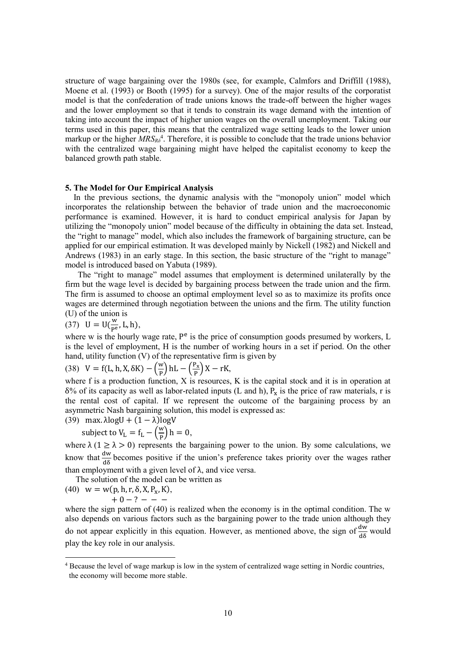structure of wage bargaining over the 1980s (see, for example, Calmfors and Driffill (1988), Moene et al. (1993) or Booth (1995) for a survey). One of the major results of the corporatist model is that the confederation of trade unions knows the trade-off between the higher wages and the lower employment so that it tends to constrain its wage demand with the intention of taking into account the impact of higher union wages on the overall unemployment. Taking our terms used in this paper, this means that the centralized wage setting leads to the lower union markup or the higher *MRSR<sup>δ</sup>* 4 . Therefore, it is possible to conclude that the trade unions behavior with the centralized wage bargaining might have helped the capitalist economy to keep the balanced growth path stable.

# **5. The Model for Our Empirical Analysis**

 In the previous sections, the dynamic analysis with the "monopoly union" model which incorporates the relationship between the behavior of trade union and the macroeconomic performance is examined. However, it is hard to conduct empirical analysis for Japan by utilizing the "monopoly union" model because of the difficulty in obtaining the data set. Instead, the "right to manage" model, which also includes the framework of bargaining structure, can be applied for our empirical estimation. It was developed mainly by Nickell (1982) and Nickell and Andrews (1983) in an early stage. In this section, the basic structure of the "right to manage" model is introduced based on Yabuta (1989).

 The "right to manage" model assumes that employment is determined unilaterally by the firm but the wage level is decided by bargaining process between the trade union and the firm. The firm is assumed to choose an optimal employment level so as to maximize its profits once wages are determined through negotiation between the unions and the firm. The utility function (U) of the union is

 $(37)$  U = U $(\frac{w}{pe})$  $\frac{w}{P^e}$ , L, h),

where w is the hourly wage rate,  $P^e$  is the price of consumption goods presumed by workers,  $L$ is the level of employment, H is the number of working hours in a set if period. On the other hand, utility function (V) of the representative firm is given by

(38) 
$$
V = f(L, h, X, \delta K) - \left(\frac{w}{p}\right) hL - \left(\frac{P_x}{p}\right) X - rK,
$$

where f is a production function, X is resources, K is the capital stock and it is in operation at δ% of its capacity as well as labor-related inputs (L and h),  $P_x$  is the price of raw materials, r is the rental cost of capital. If we represent the outcome of the bargaining process by an asymmetric Nash bargaining solution, this model is expressed as:

(39) max. 
$$
\lambda \log U + (1 - \lambda) \log V
$$

subject to 
$$
V_L = f_L - \left(\frac{w}{P}\right)h = 0
$$
,

where  $\lambda$  (1  $\geq$   $\lambda$   $>$  0) represents the bargaining power to the union. By some calculations, we know that  $\frac{dw}{d\delta}$  becomes positive if the union's preference takes priority over the wages rather than employment with a given level of  $\lambda$ , and vice versa.

The solution of the model can be written as

(40)  $w = w(p, h, r, \delta, X, P_x, K),$  $+ 0 - ? - - -$ 

-

where the sign pattern of (40) is realized when the economy is in the optimal condition. The w also depends on various factors such as the bargaining power to the trade union although they do not appear explicitly in this equation. However, as mentioned above, the sign of  $\frac{dw}{d\delta}$  would play the key role in our analysis.

<sup>4</sup> Because the level of wage markup is low in the system of centralized wage setting in Nordic countries, the economy will become more stable.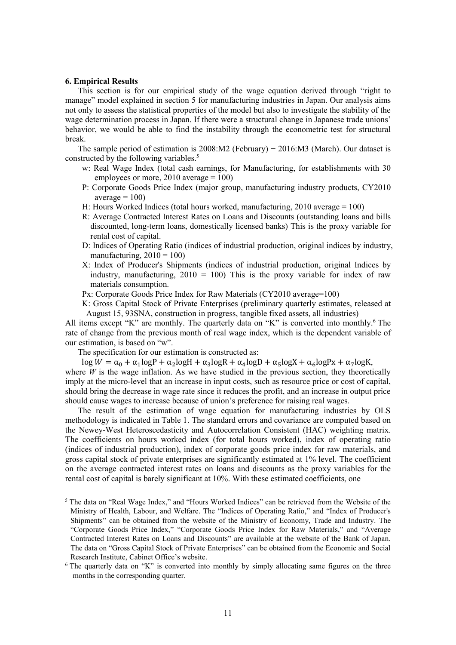#### **6. Empirical Results**

1

 This section is for our empirical study of the wage equation derived through "right to manage" model explained in section 5 for manufacturing industries in Japan. Our analysis aims not only to assess the statistical properties of the model but also to investigate the stability of the wage determination process in Japan. If there were a structural change in Japanese trade unions' behavior, we would be able to find the instability through the econometric test for structural break.

 The sample period of estimation is 2008:M2 (February) − 2016:M3 (March). Our dataset is constructed by the following variables.<sup>5</sup>

- w: Real Wage Index (total cash earnings, for Manufacturing, for establishments with 30 employees or more,  $2010$  average  $= 100$ )
- P: Corporate Goods Price Index (major group, manufacturing industry products, CY2010  $average = 100$
- H: Hours Worked Indices (total hours worked, manufacturing,  $2010$  average = 100)
- R: Average Contracted Interest Rates on Loans and Discounts (outstanding loans and bills discounted, long-term loans, domestically licensed banks) This is the proxy variable for rental cost of capital.
- D: Indices of Operating Ratio (indices of industrial production, original indices by industry, manufacturing,  $2010 = 100$ )
- X: Index of Producer's Shipments (indices of industrial production, original Indices by industry, manufacturing,  $2010 = 100$ ) This is the proxy variable for index of raw materials consumption.
- Px: Corporate Goods Price Index for Raw Materials (CY2010 average=100)
- K: Gross Capital Stock of Private Enterprises (preliminary quarterly estimates, released at August 15, 93SNA, construction in progress, tangible fixed assets, all industries)

All items except "K" are monthly. The quarterly data on "K" is converted into monthly.<sup>6</sup> The rate of change from the previous month of real wage index, which is the dependent variable of our estimation, is based on "w".

The specification for our estimation is constructed as:

 $\log W = \alpha_0 + \alpha_1 \log P + \alpha_2 \log H + \alpha_3 \log R + \alpha_4 \log D + \alpha_5 \log X + \alpha_6 \log P_X + \alpha_7 \log K$ 

where  $W$  is the wage inflation. As we have studied in the previous section, they theoretically imply at the micro-level that an increase in input costs, such as resource price or cost of capital, should bring the decrease in wage rate since it reduces the profit, and an increase in output price should cause wages to increase because of union's preference for raising real wages.

 The result of the estimation of wage equation for manufacturing industries by OLS methodology is indicated in Table 1. The standard errors and covariance are computed based on the Newey-West Heteroscedasticity and Autocorrelation Consistent (HAC) weighting matrix. The coefficients on hours worked index (for total hours worked), index of operating ratio (indices of industrial production), index of corporate goods price index for raw materials, and gross capital stock of private enterprises are significantly estimated at 1% level. The coefficient on the average contracted interest rates on loans and discounts as the proxy variables for the rental cost of capital is barely significant at 10%. With these estimated coefficients, one

 $<sup>5</sup>$  The data on "Real Wage Index," and "Hours Worked Indices" can be retrieved from the Website of the</sup> Ministry of Health, Labour, and Welfare. The "Indices of Operating Ratio," and "Index of Producer's Shipments" can be obtained from the website of the Ministry of Economy, Trade and Industry. The "Corporate Goods Price Index," "Corporate Goods Price Index for Raw Materials," and "Average Contracted Interest Rates on Loans and Discounts" are available at the website of the Bank of Japan. The data on "Gross Capital Stock of Private Enterprises" can be obtained from the Economic and Social Research Institute, Cabinet Office's website.

 $6$  The quarterly data on "K" is converted into monthly by simply allocating same figures on the three months in the corresponding quarter.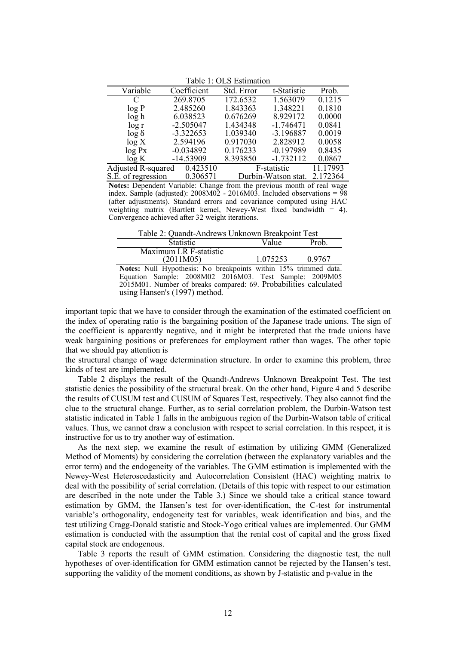| $1$ avit 1. OLD ENTHERION   |             |            |                  |          |
|-----------------------------|-------------|------------|------------------|----------|
| Variable                    | Coefficient | Std. Error | t-Statistic      | Prob.    |
| C                           | 269.8705    | 172.6532   | 1.563079         | 0.1215   |
| log P                       | 2.485260    | 1.843363   | 1.348221         | 0.1810   |
| log h                       | 6.038523    | 0.676269   | 8.929172         | 0.0000   |
| log r                       | $-2.505047$ | 1.434348   | $-1.746471$      | 0.0841   |
| $\log \delta$               | $-3.322653$ | 1.039340   | $-3.196887$      | 0.0019   |
| log X                       | 2.594196    | 0.917030   | 2.828912         | 0.0058   |
| log Px                      | $-0.034892$ | 0.176233   | $-0.197989$      | 0.8435   |
| $\log K$                    | $-14.53909$ | 8.393850   | $-1.732112$      | 0.0867   |
| Adjusted R-squared          | 0.423510    |            | F-statistic      | 11.17993 |
| $\alpha \nabla$ af $\alpha$ | 0.206571    |            | $\sum_{i=1}^{n}$ | 2.172264 |

Table 1: OLS Estimation

S.E. of regression 0.306571 Durbin-Watson stat. 2.172364 **Notes:** Dependent Variable: Change from the previous month of real wage index. Sample (adjusted):  $2008M02 - 2016M03$ . Included observations = 98 (after adjustments). Standard errors and covariance computed using HAC weighting matrix (Bartlett kernel, Newey-West fixed bandwidth  $= 4$ ). Convergence achieved after 32 weight iterations.

Table 2: Quandt-Andrews Unknown Breakpoint Test

| Statistic.             | Value    | Prob.  |
|------------------------|----------|--------|
| Maximum LR F-statistic |          |        |
| (2011M05)              | 1.075253 | 0.9767 |
|                        |          |        |

**Notes:** Null Hypothesis: No breakpoints within 15% trimmed data. Equation Sample: 2008M02 2016M03. Test Sample: 2009M05 2015M01. Number of breaks compared: 69. Probabilities calculated using Hansen's (1997) method.

important topic that we have to consider through the examination of the estimated coefficient on the index of operating ratio is the bargaining position of the Japanese trade unions. The sign of the coefficient is apparently negative, and it might be interpreted that the trade unions have weak bargaining positions or preferences for employment rather than wages. The other topic that we should pay attention is

the structural change of wage determination structure. In order to examine this problem, three kinds of test are implemented.

 Table 2 displays the result of the Quandt-Andrews Unknown Breakpoint Test. The test statistic denies the possibility of the structural break. On the other hand, Figure 4 and 5 describe the results of CUSUM test and CUSUM of Squares Test, respectively. They also cannot find the clue to the structural change. Further, as to serial correlation problem, the Durbin-Watson test statistic indicated in Table 1 falls in the ambiguous region of the Durbin-Watson table of critical values. Thus, we cannot draw a conclusion with respect to serial correlation. In this respect, it is instructive for us to try another way of estimation.

 As the next step, we examine the result of estimation by utilizing GMM (Generalized Method of Moments) by considering the correlation (between the explanatory variables and the error term) and the endogeneity of the variables. The GMM estimation is implemented with the Newey-West Heteroscedasticity and Autocorrelation Consistent (HAC) weighting matrix to deal with the possibility of serial correlation. (Details of this topic with respect to our estimation are described in the note under the Table 3.) Since we should take a critical stance toward estimation by GMM, the Hansen's test for over-identification, the C-test for instrumental variable's orthogonality, endogeneity test for variables, weak identification and bias, and the test utilizing Cragg-Donald statistic and Stock-Yogo critical values are implemented. Our GMM estimation is conducted with the assumption that the rental cost of capital and the gross fixed capital stock are endogenous.

 Table 3 reports the result of GMM estimation. Considering the diagnostic test, the null hypotheses of over-identification for GMM estimation cannot be rejected by the Hansen's test, supporting the validity of the moment conditions, as shown by J-statistic and p-value in the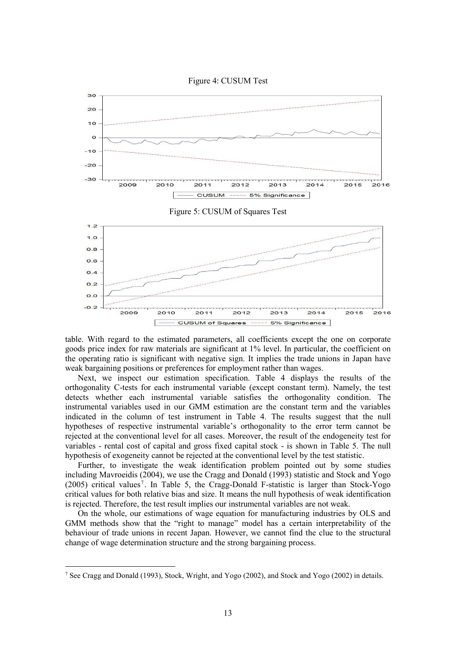



table. With regard to the estimated parameters, all coefficients except the one on corporate goods price index for raw materials are significant at 1% level. In particular, the coefficient on the operating ratio is significant with negative sign. It implies the trade unions in Japan have weak bargaining positions or preferences for employment rather than wages.

 Next, we inspect our estimation specification. Table 4 displays the results of the orthogonality C-tests for each instrumental variable (except constant term). Namely, the test detects whether each instrumental variable satisfies the orthogonality condition. The instrumental variables used in our GMM estimation are the constant term and the variables indicated in the column of test instrument in Table 4. The results suggest that the null hypotheses of respective instrumental variable's orthogonality to the error term cannot be rejected at the conventional level for all cases. Moreover, the result of the endogeneity test for variables - rental cost of capital and gross fixed capital stock - is shown in Table 5. The null hypothesis of exogeneity cannot be rejected at the conventional level by the test statistic.

 Further, to investigate the weak identification problem pointed out by some studies including Mavroeidis (2004), we use the Cragg and Donald (1993) statistic and Stock and Yogo (2005) critical values<sup>7</sup>. In Table 5, the Cragg-Donald F-statistic is larger than Stock-Yogo critical values for both relative bias and size. It means the null hypothesis of weak identification is rejected. Therefore, the test result implies our instrumental variables are not weak.

 On the whole, our estimations of wage equation for manufacturing industries by OLS and GMM methods show that the "right to manage" model has a certain interpretability of the behaviour of trade unions in recent Japan. However, we cannot find the clue to the structural change of wage determination structure and the strong bargaining process.

-

<sup>7</sup> See Cragg and Donald (1993), Stock, Wright, and Yogo (2002), and Stock and Yogo (2002) in details.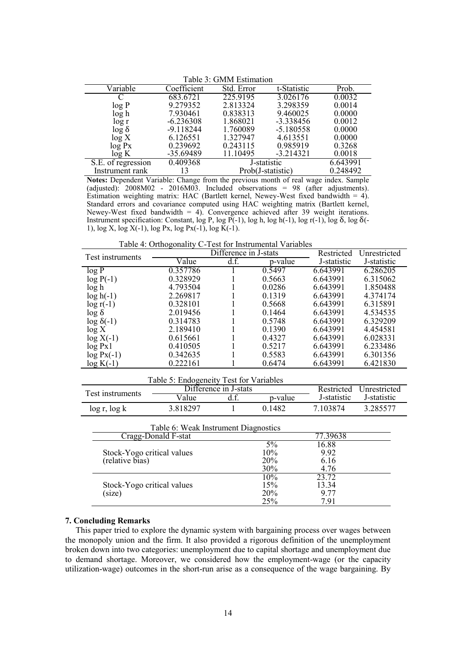| гаоје э. Овиви емпнацоп |             |                   |             |          |
|-------------------------|-------------|-------------------|-------------|----------|
| $\sqrt{\text{ariable}}$ | Coefficient | Std. Error        | t-Statistic | Prob.    |
|                         | 683.6721    | 225.9195          | 3.026176    | 0.0032   |
| log P                   | 9.279352    | 2.813324          | 3.298359    | 0.0014   |
| log h                   | 7.930461    | 0.838313          | 9.460025    | 0.0000   |
| $\log r$                | $-6.236308$ | 1.868021          | $-3.338456$ | 0.0012   |
| $\log \delta$           | $-9.118244$ | 1.760089          | $-5.180558$ | 0.0000   |
| log X                   | 6.126551    | 1.327947          | 4.613551    | 0.0000   |
| log Px                  | 0.239692    | 0.243115          | 0.985919    | 0.3268   |
| log K                   | -35.69489   | 11.10495          | $-3.214321$ | 0.0018   |
| S.E. of regression      | 0.409368    | J-statistic       |             | 6.643991 |
| Instrument rank         | 13          | Prob(J-statistic) |             | 0.248492 |

Table 3: GMM Estimation

**Notes:** Dependent Variable: Change from the previous month of real wage index. Sample (adjusted):  $2008M02$  -  $2016M03$ . Included observations = 98 (after adjustments). Estimation weighting matrix: HAC (Bartlett kernel, Newey-West fixed bandwidth = 4). Standard errors and covariance computed using HAC weighting matrix (Bartlett kernel, Newey-West fixed bandwidth  $= 4$ ). Convergence achieved after 39 weight iterations. Instrument specification: Constant, log P, log P(-1), log h, log h(-1), log r(-1), log  $\delta$ , log  $\delta$ (-1), log X, log X(-1), log Px, log Px(-1), log K(-1).

Table 4: Orthogonality C-Test for Instrumental Variables

| Test instruments  | Difference in J-stats |     |         | Restricted  | Unrestricted |
|-------------------|-----------------------|-----|---------|-------------|--------------|
|                   | Value                 | df. | p-value | J-statistic | J-statistic  |
| log P             | 0.357786              |     | 0.5497  | 6.643991    | 6.286205     |
| $log P(-1)$       | 0.328929              |     | 0.5663  | 6.643991    | 6.315062     |
| log h             | 4.793504              |     | 0.0286  | 6.643991    | 1.850488     |
| $log h(-1)$       | 2.269817              |     | 0.1319  | 6.643991    | 4.374174     |
| $\log r(-1)$      | 0.328101              |     | 0.5668  | 6.643991    | 6.315891     |
| $\log \delta$     | 2.019456              |     | 0.1464  | 6.643991    | 4.534535     |
| $\log \delta(-1)$ | 0.314783              |     | 0.5748  | 6.643991    | 6.329209     |
| log X             | 2.189410              |     | 0.1390  | 6.643991    | 4.454581     |
| $log X(-1)$       | 0.615661              |     | 0.4327  | 6.643991    | 6.028331     |
| log Px1           | 0.410505              |     | 0.5217  | 6.643991    | 6.233486     |
| $log Px(-1)$      | 0.342635              |     | 0.5583  | 6.643991    | 6.301356     |
| $log K(-1)$       | 0.222161              |     | 0.6474  | 6.643991    | 6.421830     |

|                     | Table 5: Endogeneity Test for Variables |  |         |             |                         |
|---------------------|-----------------------------------------|--|---------|-------------|-------------------------|
| Test instruments    | Difference in J-stats                   |  |         |             | Restricted Unrestricted |
|                     | Value                                   |  | p-value | J-statistic | J-statistic             |
| $\log r$ , $\log k$ | 3.818297                                |  | 0.1482  | 7.103874    | 3.285577                |

| Table 6: Weak Instrument Diagnostics          |                            |                               |  |  |
|-----------------------------------------------|----------------------------|-------------------------------|--|--|
| Cragg-Donald F-stat                           |                            | 77.39638                      |  |  |
| Stock-Yogo critical values<br>(relative bias) | $5\%$<br>10%<br>20%<br>30% | 16.88<br>9.92<br>6.16<br>4.76 |  |  |
| Stock-Yogo critical values<br>(size)          | 10%<br>15%<br>20%<br>25%   | 23.72<br>13.34<br>9.77<br>791 |  |  |

# **7. Concluding Remarks**

 This paper tried to explore the dynamic system with bargaining process over wages between the monopoly union and the firm. It also provided a rigorous definition of the unemployment broken down into two categories: unemployment due to capital shortage and unemployment due to demand shortage. Moreover, we considered how the employment-wage (or the capacity utilization-wage) outcomes in the short-run arise as a consequence of the wage bargaining. By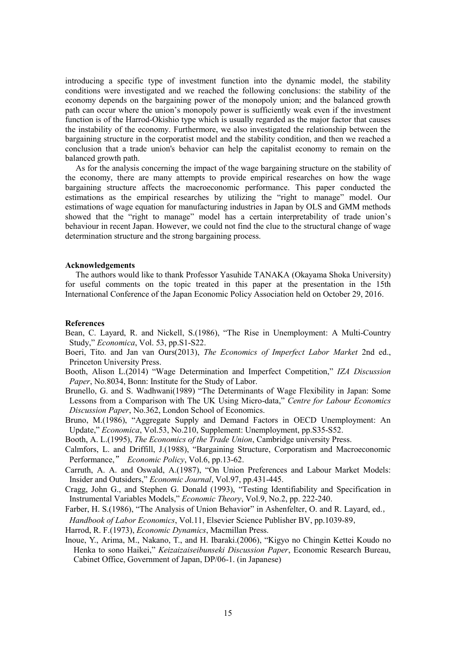introducing a specific type of investment function into the dynamic model, the stability conditions were investigated and we reached the following conclusions: the stability of the economy depends on the bargaining power of the monopoly union; and the balanced growth path can occur where the union's monopoly power is sufficiently weak even if the investment function is of the Harrod-Okishio type which is usually regarded as the major factor that causes the instability of the economy. Furthermore, we also investigated the relationship between the bargaining structure in the corporatist model and the stability condition, and then we reached a conclusion that a trade union's behavior can help the capitalist economy to remain on the balanced growth path.

 As for the analysis concerning the impact of the wage bargaining structure on the stability of the economy, there are many attempts to provide empirical researches on how the wage bargaining structure affects the macroeconomic performance. This paper conducted the estimations as the empirical researches by utilizing the "right to manage" model. Our estimations of wage equation for manufacturing industries in Japan by OLS and GMM methods showed that the "right to manage" model has a certain interpretability of trade union's behaviour in recent Japan. However, we could not find the clue to the structural change of wage determination structure and the strong bargaining process.

#### **Acknowledgements**

 The authors would like to thank Professor Yasuhide TANAKA (Okayama Shoka University) for useful comments on the topic treated in this paper at the presentation in the 15th International Conference of the Japan Economic Policy Association held on October 29, 2016.

# **References**

- Bean, C. Layard, R. and Nickell, S.(1986), "The Rise in Unemployment: A Multi-Country Study," *Economica*, Vol. 53, pp.S1-S22.
- Boeri, Tito. and Jan van Ours(2013), *The Economics of Imperfect Labor Market* 2nd ed., Princeton University Press.
- Booth, Alison L.(2014) "Wage Determination and Imperfect Competition," *IZA Discussion Paper*, No.8034, Bonn: Institute for the Study of Labor.
- Brunello, G. and S. Wadhwani(1989) "The Determinants of Wage Flexibility in Japan: Some Lessons from a Comparison with The UK Using Micro-data," *Centre for Labour Economics Discussion Paper*, No.362, London School of Economics.
- Bruno, M.(1986), "Aggregate Supply and Demand Factors in OECD Unemployment: An Update," *Economica*, Vol.53, No.210, Supplement: Unemployment, pp.S35-S52.
- Booth, A. L.(1995), *The Economics of the Trade Union*, Cambridge university Press.
- Calmfors, L. and Driffill, J.(1988), "Bargaining Structure, Corporatism and Macroeconomic Performance," *Economic Policy*, Vol.6, pp.13-62.
- Carruth, A. A. and Oswald, A.(1987), "On Union Preferences and Labour Market Models: Insider and Outsiders," *Economic Journal*, Vol.97, pp.431-445.
- Cragg, John G., and Stephen G. Donald (1993), "Testing Identifiability and Specification in Instrumental Variables Models," *Economic Theory*, Vol.9, No.2, pp. 222-240.
- Farber, H. S.(1986), "The Analysis of Union Behavior" in Ashenfelter, O. and R. Layard, ed.,

*Handbook of Labor Economics*, Vol.11, Elsevier Science Publisher BV, pp.1039-89,

- Harrod, R. F.(1973), *Economic Dynamics*, Macmillan Press.
- Inoue, Y., Arima, M., Nakano, T., and H. Ibaraki.(2006), "Kigyo no Chingin Kettei Koudo no Henka to sono Haikei," *Keizaizaiseibunseki Discussion Paper*, Economic Research Bureau, Cabinet Office, Government of Japan, DP/06-1. (in Japanese)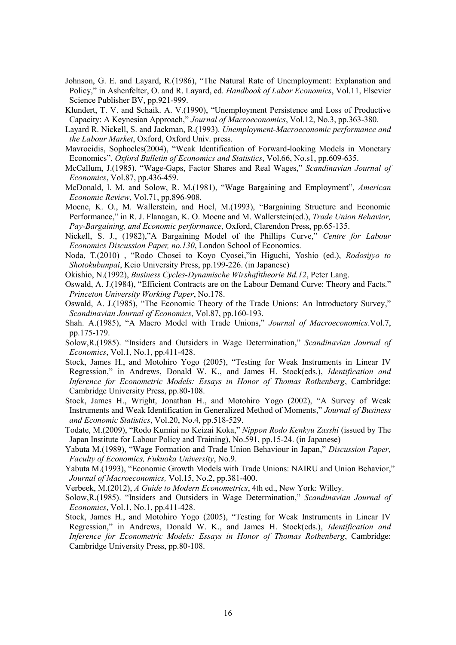- Johnson, G. E. and Layard, R.(1986), "The Natural Rate of Unemployment: Explanation and Policy," in Ashenfelter, O. and R. Layard, ed. *Handbook of Labor Economics*, Vol.11, Elsevier Science Publisher BV, pp.921-999.
- Klundert, T. V. and Schaik. A. V.(1990), "Unemployment Persistence and Loss of Productive Capacity: A Keynesian Approach," *Journal of Macroeconomics*, Vol.12, No.3, pp.363-380.
- Layard R. Nickell, S. and Jackman, R.(1993). *Unemployment-Macroeconomic performance and the Labour Market*, Oxford, Oxford Univ. press.
- Mavroeidis, Sophocles(2004), "Weak Identification of Forward-looking Models in Monetary Economics", *Oxford Bulletin of Economics and Statistics*, Vol.66, No.s1, pp.609-635.
- McCallum, J.(1985). "Wage-Gaps, Factor Shares and Real Wages," *Scandinavian Journal of Economics*, Vol.87, pp.436-459.
- McDonald, l. M. and Solow, R. M.(1981), "Wage Bargaining and Employment", *American Economic Review*, Vol.71, pp.896-908.
- Moene, K. O., M. Wallerstein, and Hoel, M.(1993), "Bargaining Structure and Economic Performance," in R. J. Flanagan, K. O. Moene and M. Wallerstein(ed.), *Trade Union Behavior, Pay-Bargaining, and Economic performance*, Oxford, Clarendon Press, pp.65-135.
- Nickell, S. J., (1982),"A Bargaining Model of the Phillips Curve," *Centre for Labour Economics Discussion Paper, no.130*, London School of Economics.
- Noda, T.(2010) , "Rodo Chosei to Koyo Cyosei,"in Higuchi, Yoshio (ed.), *Rodosijyo to Shotokubunpai*, Keio University Press, pp.199-226. (in Japanese)
- Okishio, N.(1992), *Business Cycles-Dynamische Wirshafttheorie Bd.12*, Peter Lang.
- Oswald, A. J.(1984), "Efficient Contracts are on the Labour Demand Curve: Theory and Facts." *Princeton University Working Paper*, No.178.
- Oswald, A. J.(1985), "The Economic Theory of the Trade Unions: An Introductory Survey," *Scandinavian Journal of Economics*, Vol.87, pp.160-193.
- Shah. A.(1985), "A Macro Model with Trade Unions," *Journal of Macroeconomics*.Vol.7, pp.175-179.
- Solow,R.(1985). "Insiders and Outsiders in Wage Determination," *Scandinavian Journal of Economics*, Vol.1, No.1, pp.411-428.
- Stock, James H., and Motohiro Yogo (2005), "Testing for Weak Instruments in Linear IV Regression," in Andrews, Donald W. K., and James H. Stock(eds.), *Identification and Inference for Econometric Models: Essays in Honor of Thomas Rothenberg*, Cambridge: Cambridge University Press, pp.80-108.
- Stock, James H., Wright, Jonathan H., and Motohiro Yogo (2002), "A Survey of Weak Instruments and Weak Identification in Generalized Method of Moments," *Journal of Business and Economic Statistics*, Vol.20, No.4, pp.518-529.
- Todate, M.(2009), "Rodo Kumiai no Keizai Koka," *Nippon Rodo Kenkyu Zasshi* (issued by The Japan Institute for Labour Policy and Training), No.591, pp.15-24. (in Japanese)
- Yabuta M.(1989), "Wage Formation and Trade Union Behaviour in Japan," *Discussion Paper, Faculty of Economics, Fukuoka University*, No.9.
- Yabuta M.(1993), "Economic Growth Models with Trade Unions: NAIRU and Union Behavior," *Journal of Macroeconomics,* Vol.15, No.2, pp.381-400.
- Verbeek, M.(2012), *A Guide to Modern Econometrics*, 4th ed., New York: Willey.
- Solow,R.(1985). "Insiders and Outsiders in Wage Determination," *Scandinavian Journal of Economics*, Vol.1, No.1, pp.411-428.
- Stock, James H., and Motohiro Yogo (2005), "Testing for Weak Instruments in Linear IV Regression," in Andrews, Donald W. K., and James H. Stock(eds.), *Identification and Inference for Econometric Models: Essays in Honor of Thomas Rothenberg*, Cambridge: Cambridge University Press, pp.80-108.